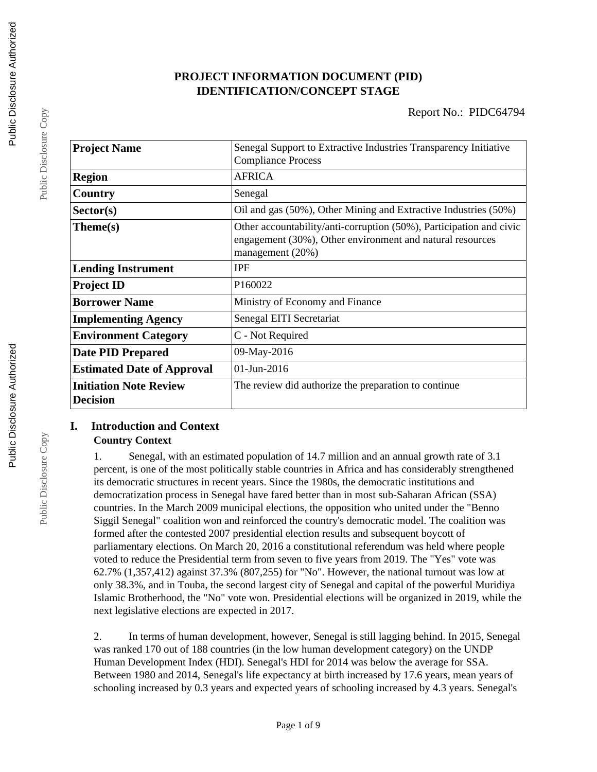## **PROJECT INFORMATION DOCUMENT (PID) IDENTIFICATION/CONCEPT STAGE**

| <b>Project Name</b>               | Senegal Support to Extractive Industries Transparency Initiative    |  |  |
|-----------------------------------|---------------------------------------------------------------------|--|--|
|                                   | <b>Compliance Process</b>                                           |  |  |
| <b>Region</b>                     | <b>AFRICA</b>                                                       |  |  |
| Country                           | Senegal                                                             |  |  |
| Sector(s)                         | Oil and gas (50%), Other Mining and Extractive Industries (50%)     |  |  |
| Theme(s)                          | Other accountability/anti-corruption (50%), Participation and civic |  |  |
|                                   | engagement (30%), Other environment and natural resources           |  |  |
|                                   | management (20%)                                                    |  |  |
| <b>Lending Instrument</b>         | <b>IPF</b>                                                          |  |  |
| <b>Project ID</b>                 | P160022                                                             |  |  |
| <b>Borrower Name</b>              | Ministry of Economy and Finance                                     |  |  |
| <b>Implementing Agency</b>        | Senegal EITI Secretariat                                            |  |  |
| <b>Environment Category</b>       | C - Not Required                                                    |  |  |
| <b>Date PID Prepared</b>          | 09-May-2016                                                         |  |  |
| <b>Estimated Date of Approval</b> | 01-Jun-2016                                                         |  |  |
| <b>Initiation Note Review</b>     | The review did authorize the preparation to continue                |  |  |
| <b>Decision</b>                   |                                                                     |  |  |

## **I. Introduction and Context**

## **Country Context**

1. Senegal, with an estimated population of 14.7 million and an annual growth rate of 3.1 percent, is one of the most politically stable countries in Africa and has considerably strengthened its democratic structures in recent years. Since the 1980s, the democratic institutions and democratization process in Senegal have fared better than in most sub-Saharan African (SSA) countries. In the March 2009 municipal elections, the opposition who united under the "Benno Siggil Senegal" coalition won and reinforced the country's democratic model. The coalition was formed after the contested 2007 presidential election results and subsequent boycott of parliamentary elections. On March 20, 2016 a constitutional referendum was held where people voted to reduce the Presidential term from seven to five years from 2019. The "Yes" vote was 62.7% (1,357,412) against 37.3% (807,255) for "No". However, the national turnout was low at only 38.3%, and in Touba, the second largest city of Senegal and capital of the powerful Muridiya Islamic Brotherhood, the "No" vote won. Presidential elections will be organized in 2019, while the next legislative elections are expected in 2017.

2. In terms of human development, however, Senegal is still lagging behind. In 2015, Senegal was ranked 170 out of 188 countries (in the low human development category) on the UNDP Human Development Index (HDI). Senegal's HDI for 2014 was below the average for SSA. Between 1980 and 2014, Senegal's life expectancy at birth increased by 17.6 years, mean years of schooling increased by 0.3 years and expected years of schooling increased by 4.3 years. Senegal's

Public Disclosure Copy

Public Disclosure Copy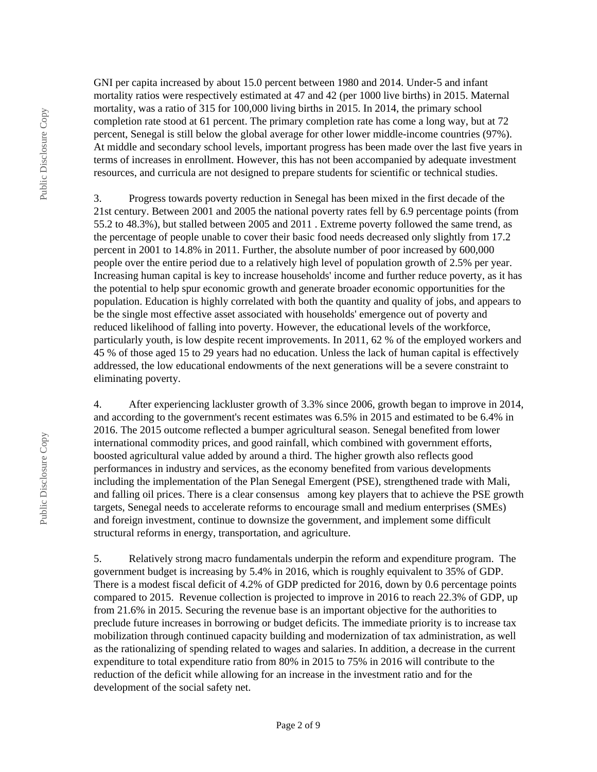GNI per capita increased by about 15.0 percent between 1980 and 2014. Under-5 and infant mortality ratios were respectively estimated at 47 and 42 (per 1000 live births) in 2015. Maternal mortality, was a ratio of 315 for 100,000 living births in 2015. In 2014, the primary school completion rate stood at 61 percent. The primary completion rate has come a long way, but at 72 percent, Senegal is still below the global average for other lower middle-income countries (97%). At middle and secondary school levels, important progress has been made over the last five years in terms of increases in enrollment. However, this has not been accompanied by adequate investment resources, and curricula are not designed to prepare students for scientific or technical studies.

3. Progress towards poverty reduction in Senegal has been mixed in the first decade of the 21st century. Between 2001 and 2005 the national poverty rates fell by 6.9 percentage points (from 55.2 to 48.3%), but stalled between 2005 and 2011 . Extreme poverty followed the same trend, as the percentage of people unable to cover their basic food needs decreased only slightly from 17.2 percent in 2001 to 14.8% in 2011. Further, the absolute number of poor increased by 600,000 people over the entire period due to a relatively high level of population growth of 2.5% per year. Increasing human capital is key to increase households' income and further reduce poverty, as it has the potential to help spur economic growth and generate broader economic opportunities for the population. Education is highly correlated with both the quantity and quality of jobs, and appears to be the single most effective asset associated with households' emergence out of poverty and reduced likelihood of falling into poverty. However, the educational levels of the workforce, particularly youth, is low despite recent improvements. In 2011, 62 % of the employed workers and 45 % of those aged 15 to 29 years had no education. Unless the lack of human capital is effectively addressed, the low educational endowments of the next generations will be a severe constraint to eliminating poverty.

4. After experiencing lackluster growth of 3.3% since 2006, growth began to improve in 2014, and according to the government's recent estimates was 6.5% in 2015 and estimated to be 6.4% in 2016. The 2015 outcome reflected a bumper agricultural season. Senegal benefited from lower international commodity prices, and good rainfall, which combined with government efforts, boosted agricultural value added by around a third. The higher growth also reflects good performances in industry and services, as the economy benefited from various developments including the implementation of the Plan Senegal Emergent (PSE), strengthened trade with Mali, and falling oil prices. There is a clear consensus among key players that to achieve the PSE growth targets, Senegal needs to accelerate reforms to encourage small and medium enterprises (SMEs) and foreign investment, continue to downsize the government, and implement some difficult structural reforms in energy, transportation, and agriculture.

5. Relatively strong macro fundamentals underpin the reform and expenditure program. The government budget is increasing by 5.4% in 2016, which is roughly equivalent to 35% of GDP. There is a modest fiscal deficit of 4.2% of GDP predicted for 2016, down by 0.6 percentage points compared to 2015. Revenue collection is projected to improve in 2016 to reach 22.3% of GDP, up from 21.6% in 2015. Securing the revenue base is an important objective for the authorities to preclude future increases in borrowing or budget deficits. The immediate priority is to increase tax mobilization through continued capacity building and modernization of tax administration, as well as the rationalizing of spending related to wages and salaries. In addition, a decrease in the current expenditure to total expenditure ratio from 80% in 2015 to 75% in 2016 will contribute to the reduction of the deficit while allowing for an increase in the investment ratio and for the development of the social safety net.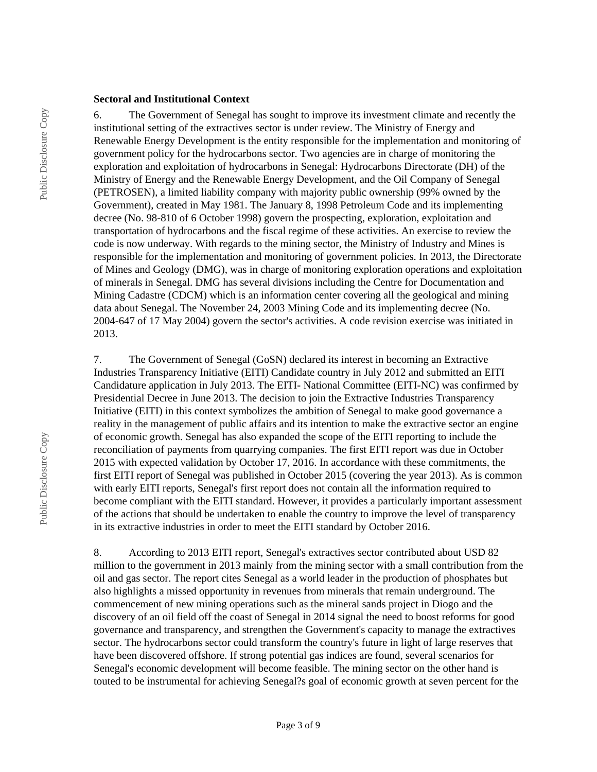#### **Sectoral and Institutional Context**

6. The Government of Senegal has sought to improve its investment climate and recently the institutional setting of the extractives sector is under review. The Ministry of Energy and Renewable Energy Development is the entity responsible for the implementation and monitoring of government policy for the hydrocarbons sector. Two agencies are in charge of monitoring the exploration and exploitation of hydrocarbons in Senegal: Hydrocarbons Directorate (DH) of the Ministry of Energy and the Renewable Energy Development, and the Oil Company of Senegal (PETROSEN), a limited liability company with majority public ownership (99% owned by the Government), created in May 1981. The January 8, 1998 Petroleum Code and its implementing decree (No. 98-810 of 6 October 1998) govern the prospecting, exploration, exploitation and transportation of hydrocarbons and the fiscal regime of these activities. An exercise to review the code is now underway. With regards to the mining sector, the Ministry of Industry and Mines is responsible for the implementation and monitoring of government policies. In 2013, the Directorate of Mines and Geology (DMG), was in charge of monitoring exploration operations and exploitation of minerals in Senegal. DMG has several divisions including the Centre for Documentation and Mining Cadastre (CDCM) which is an information center covering all the geological and mining data about Senegal. The November 24, 2003 Mining Code and its implementing decree (No. 2004-647 of 17 May 2004) govern the sector's activities. A code revision exercise was initiated in 2013.

7. The Government of Senegal (GoSN) declared its interest in becoming an Extractive Industries Transparency Initiative (EITI) Candidate country in July 2012 and submitted an EITI Candidature application in July 2013. The EITI- National Committee (EITI-NC) was confirmed by Presidential Decree in June 2013. The decision to join the Extractive Industries Transparency Initiative (EITI) in this context symbolizes the ambition of Senegal to make good governance a reality in the management of public affairs and its intention to make the extractive sector an engine of economic growth. Senegal has also expanded the scope of the EITI reporting to include the reconciliation of payments from quarrying companies. The first EITI report was due in October 2015 with expected validation by October 17, 2016. In accordance with these commitments, the first EITI report of Senegal was published in October 2015 (covering the year 2013). As is common with early EITI reports, Senegal's first report does not contain all the information required to become compliant with the EITI standard. However, it provides a particularly important assessment of the actions that should be undertaken to enable the country to improve the level of transparency in its extractive industries in order to meet the EITI standard by October 2016.

8. According to 2013 EITI report, Senegal's extractives sector contributed about USD 82 million to the government in 2013 mainly from the mining sector with a small contribution from the oil and gas sector. The report cites Senegal as a world leader in the production of phosphates but also highlights a missed opportunity in revenues from minerals that remain underground. The commencement of new mining operations such as the mineral sands project in Diogo and the discovery of an oil field off the coast of Senegal in 2014 signal the need to boost reforms for good governance and transparency, and strengthen the Government's capacity to manage the extractives sector. The hydrocarbons sector could transform the country's future in light of large reserves that have been discovered offshore. If strong potential gas indices are found, several scenarios for Senegal's economic development will become feasible. The mining sector on the other hand is touted to be instrumental for achieving Senegal?s goal of economic growth at seven percent for the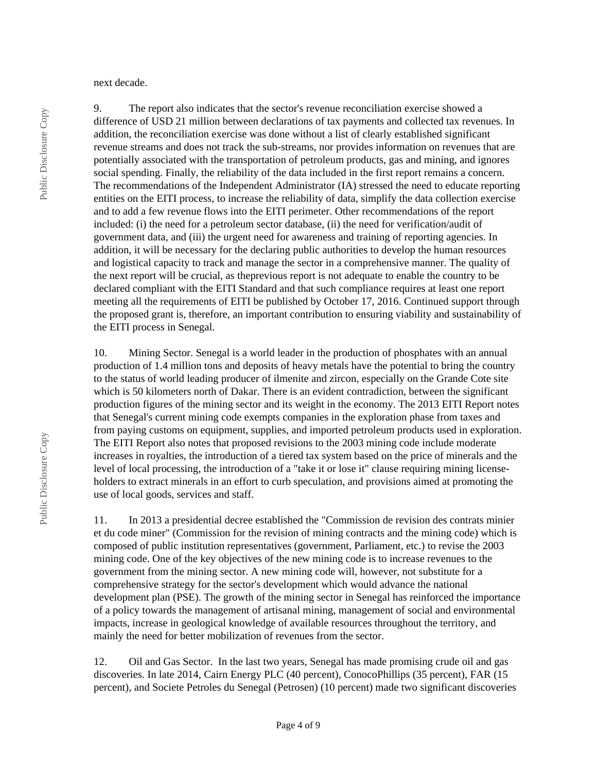next decade.

9. The report also indicates that the sector's revenue reconciliation exercise showed a difference of USD 21 million between declarations of tax payments and collected tax revenues. In addition, the reconciliation exercise was done without a list of clearly established significant revenue streams and does not track the sub-streams, nor provides information on revenues that are potentially associated with the transportation of petroleum products, gas and mining, and ignores social spending. Finally, the reliability of the data included in the first report remains a concern. The recommendations of the Independent Administrator (IA) stressed the need to educate reporting entities on the EITI process, to increase the reliability of data, simplify the data collection exercise and to add a few revenue flows into the EITI perimeter. Other recommendations of the report included: (i) the need for a petroleum sector database, (ii) the need for verification/audit of government data, and (iii) the urgent need for awareness and training of reporting agencies. In addition, it will be necessary for the declaring public authorities to develop the human resources and logistical capacity to track and manage the sector in a comprehensive manner. The quality of the next report will be crucial, as theprevious report is not adequate to enable the country to be declared compliant with the EITI Standard and that such compliance requires at least one report meeting all the requirements of EITI be published by October 17, 2016. Continued support through the proposed grant is, therefore, an important contribution to ensuring viability and sustainability of the EITI process in Senegal.

10. Mining Sector. Senegal is a world leader in the production of phosphates with an annual production of 1.4 million tons and deposits of heavy metals have the potential to bring the country to the status of world leading producer of ilmenite and zircon, especially on the Grande Cote site which is 50 kilometers north of Dakar. There is an evident contradiction, between the significant production figures of the mining sector and its weight in the economy. The 2013 EITI Report notes that Senegal's current mining code exempts companies in the exploration phase from taxes and from paying customs on equipment, supplies, and imported petroleum products used in exploration. The EITI Report also notes that proposed revisions to the 2003 mining code include moderate increases in royalties, the introduction of a tiered tax system based on the price of minerals and the level of local processing, the introduction of a "take it or lose it" clause requiring mining licenseholders to extract minerals in an effort to curb speculation, and provisions aimed at promoting the use of local goods, services and staff.

11. In 2013 a presidential decree established the "Commission de revision des contrats minier et du code miner" (Commission for the revision of mining contracts and the mining code) which is composed of public institution representatives (government, Parliament, etc.) to revise the 2003 mining code. One of the key objectives of the new mining code is to increase revenues to the government from the mining sector. A new mining code will, however, not substitute for a comprehensive strategy for the sector's development which would advance the national development plan (PSE). The growth of the mining sector in Senegal has reinforced the importance of a policy towards the management of artisanal mining, management of social and environmental impacts, increase in geological knowledge of available resources throughout the territory, and mainly the need for better mobilization of revenues from the sector.

12. Oil and Gas Sector. In the last two years, Senegal has made promising crude oil and gas discoveries. In late 2014, Cairn Energy PLC (40 percent), ConocoPhillips (35 percent), FAR (15 percent), and Societe Petroles du Senegal (Petrosen) (10 percent) made two significant discoveries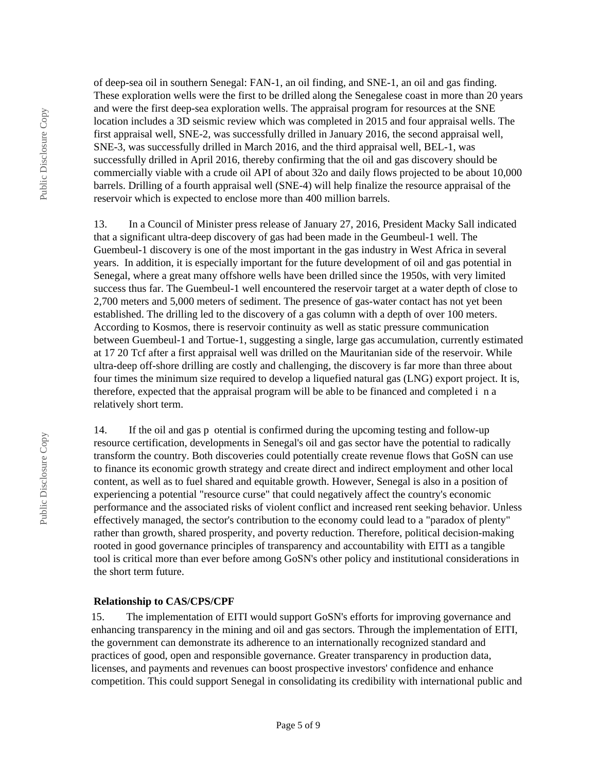of deep-sea oil in southern Senegal: FAN-1, an oil finding, and SNE-1, an oil and gas finding. These exploration wells were the first to be drilled along the Senegalese coast in more than 20 years and were the first deep-sea exploration wells. The appraisal program for resources at the SNE location includes a 3D seismic review which was completed in 2015 and four appraisal wells. The first appraisal well, SNE-2, was successfully drilled in January 2016, the second appraisal well, SNE-3, was successfully drilled in March 2016, and the third appraisal well, BEL-1, was successfully drilled in April 2016, thereby confirming that the oil and gas discovery should be commercially viable with a crude oil API of about 32o and daily flows projected to be about 10,000 barrels. Drilling of a fourth appraisal well (SNE-4) will help finalize the resource appraisal of the reservoir which is expected to enclose more than 400 million barrels.

13. In a Council of Minister press release of January 27, 2016, President Macky Sall indicated that a significant ultra-deep discovery of gas had been made in the Geumbeul-1 well. The Guembeul-1 discovery is one of the most important in the gas industry in West Africa in several years. In addition, it is especially important for the future development of oil and gas potential in Senegal, where a great many offshore wells have been drilled since the 1950s, with very limited success thus far. The Guembeul-1 well encountered the reservoir target at a water depth of close to 2,700 meters and 5,000 meters of sediment. The presence of gas-water contact has not yet been established. The drilling led to the discovery of a gas column with a depth of over 100 meters. According to Kosmos, there is reservoir continuity as well as static pressure communication between Guembeul-1 and Tortue-1, suggesting a single, large gas accumulation, currently estimated at 17 20 Tcf after a first appraisal well was drilled on the Mauritanian side of the reservoir. While ultra-deep off-shore drilling are costly and challenging, the discovery is far more than three about four times the minimum size required to develop a liquefied natural gas (LNG) export project. It is, therefore, expected that the appraisal program will be able to be financed and completed i n a relatively short term.

14. If the oil and gas p otential is confirmed during the upcoming testing and follow-up resource certification, developments in Senegal's oil and gas sector have the potential to radically transform the country. Both discoveries could potentially create revenue flows that GoSN can use to finance its economic growth strategy and create direct and indirect employment and other local content, as well as to fuel shared and equitable growth. However, Senegal is also in a position of experiencing a potential "resource curse" that could negatively affect the country's economic performance and the associated risks of violent conflict and increased rent seeking behavior. Unless effectively managed, the sector's contribution to the economy could lead to a "paradox of plenty" rather than growth, shared prosperity, and poverty reduction. Therefore, political decision-making rooted in good governance principles of transparency and accountability with EITI as a tangible tool is critical more than ever before among GoSN's other policy and institutional considerations in the short term future.

#### **Relationship to CAS/CPS/CPF**

15. The implementation of EITI would support GoSN's efforts for improving governance and enhancing transparency in the mining and oil and gas sectors. Through the implementation of EITI, the government can demonstrate its adherence to an internationally recognized standard and practices of good, open and responsible governance. Greater transparency in production data, licenses, and payments and revenues can boost prospective investors' confidence and enhance competition. This could support Senegal in consolidating its credibility with international public and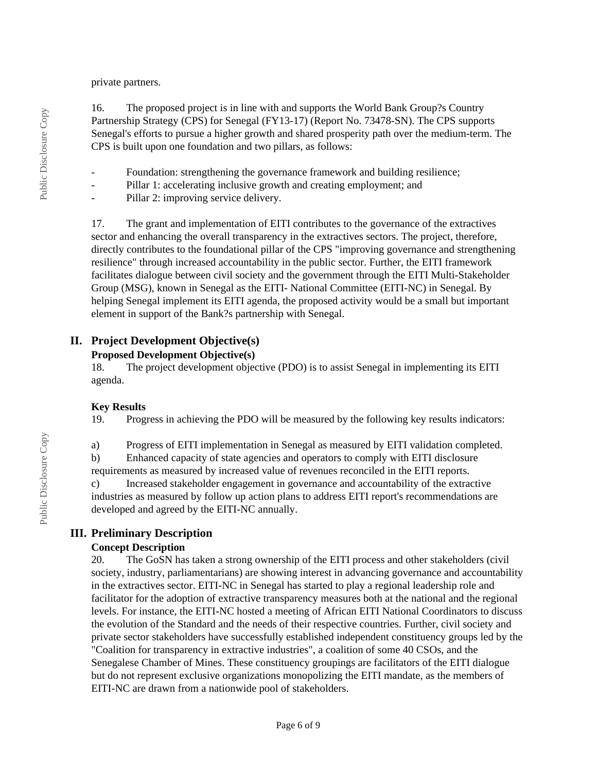private partners.

16. The proposed project is in line with and supports the World Bank Group?s Country Partnership Strategy (CPS) for Senegal (FY13-17) (Report No. 73478-SN). The CPS supports Senegal's efforts to pursue a higher growth and shared prosperity path over the medium-term. The CPS is built upon one foundation and two pillars, as follows:

- Foundation: strengthening the governance framework and building resilience;

- Pillar 1: accelerating inclusive growth and creating employment; and
- Pillar 2: improving service delivery.

17. The grant and implementation of EITI contributes to the governance of the extractives sector and enhancing the overall transparency in the extractives sectors. The project, therefore, directly contributes to the foundational pillar of the CPS "improving governance and strengthening resilience" through increased accountability in the public sector. Further, the EITI framework facilitates dialogue between civil society and the government through the EITI Multi-Stakeholder Group (MSG), known in Senegal as the EITI- National Committee (EITI-NC) in Senegal. By helping Senegal implement its EITI agenda, the proposed activity would be a small but important element in support of the Bank?s partnership with Senegal.

## **II. Project Development Objective(s)**

#### **Proposed Development Objective(s)**

18. The project development objective (PDO) is to assist Senegal in implementing its EITI agenda.

## **Key Results**

19. Progress in achieving the PDO will be measured by the following key results indicators:

a) Progress of EITI implementation in Senegal as measured by EITI validation completed.

b) Enhanced capacity of state agencies and operators to comply with EITI disclosure requirements as measured by increased value of revenues reconciled in the EITI reports.

c) Increased stakeholder engagement in governance and accountability of the extractive industries as measured by follow up action plans to address EITI report's recommendations are developed and agreed by the EITI-NC annually.

## **III. Preliminary Description**

## **Concept Description**

20. The GoSN has taken a strong ownership of the EITI process and other stakeholders (civil society, industry, parliamentarians) are showing interest in advancing governance and accountability in the extractives sector. EITI-NC in Senegal has started to play a regional leadership role and facilitator for the adoption of extractive transparency measures both at the national and the regional levels. For instance, the EITI-NC hosted a meeting of African EITI National Coordinators to discuss the evolution of the Standard and the needs of their respective countries. Further, civil society and private sector stakeholders have successfully established independent constituency groups led by the "Coalition for transparency in extractive industries", a coalition of some 40 CSOs, and the Senegalese Chamber of Mines. These constituency groupings are facilitators of the EITI dialogue but do not represent exclusive organizations monopolizing the EITI mandate, as the members of EITI-NC are drawn from a nationwide pool of stakeholders.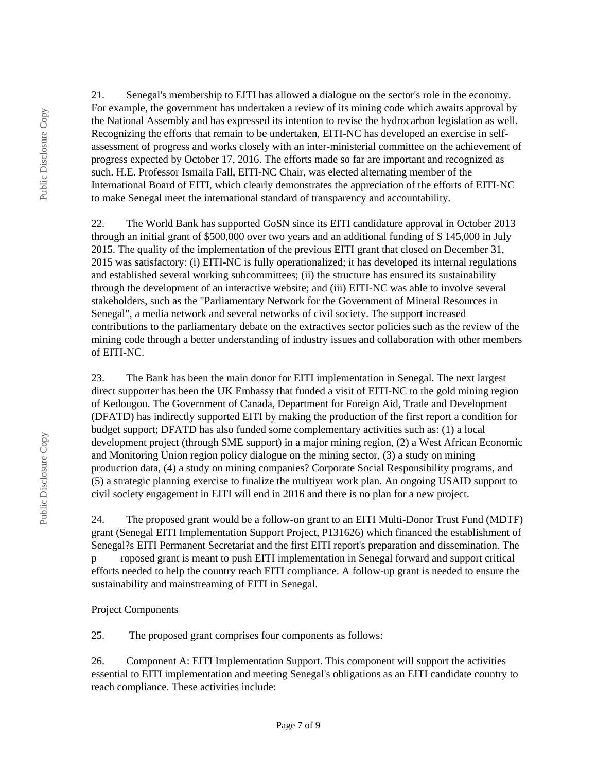21. Senegal's membership to EITI has allowed a dialogue on the sector's role in the economy. For example, the government has undertaken a review of its mining code which awaits approval by the National Assembly and has expressed its intention to revise the hydrocarbon legislation as well. Recognizing the efforts that remain to be undertaken, EITI-NC has developed an exercise in selfassessment of progress and works closely with an inter-ministerial committee on the achievement of progress expected by October 17, 2016. The efforts made so far are important and recognized as such. H.E. Professor Ismaila Fall, EITI-NC Chair, was elected alternating member of the International Board of EITI, which clearly demonstrates the appreciation of the efforts of EITI-NC to make Senegal meet the international standard of transparency and accountability.

22. The World Bank has supported GoSN since its EITI candidature approval in October 2013 through an initial grant of \$500,000 over two years and an additional funding of \$ 145,000 in July 2015. The quality of the implementation of the previous EITI grant that closed on December 31, 2015 was satisfactory: (i) EITI-NC is fully operationalized; it has developed its internal regulations and established several working subcommittees; (ii) the structure has ensured its sustainability through the development of an interactive website; and (iii) EITI-NC was able to involve several stakeholders, such as the "Parliamentary Network for the Government of Mineral Resources in Senegal", a media network and several networks of civil society. The support increased contributions to the parliamentary debate on the extractives sector policies such as the review of the mining code through a better understanding of industry issues and collaboration with other members of EITI-NC.

23. The Bank has been the main donor for EITI implementation in Senegal. The next largest direct supporter has been the UK Embassy that funded a visit of EITI-NC to the gold mining region of Kedougou. The Government of Canada, Department for Foreign Aid, Trade and Development (DFATD) has indirectly supported EITI by making the production of the first report a condition for budget support; DFATD has also funded some complementary activities such as: (1) a local development project (through SME support) in a major mining region, (2) a West African Economic and Monitoring Union region policy dialogue on the mining sector, (3) a study on mining production data, (4) a study on mining companies? Corporate Social Responsibility programs, and (5) a strategic planning exercise to finalize the multiyear work plan. An ongoing USAID support to civil society engagement in EITI will end in 2016 and there is no plan for a new project.

24. The proposed grant would be a follow-on grant to an EITI Multi-Donor Trust Fund (MDTF) grant (Senegal EITI Implementation Support Project, P131626) which financed the establishment of Senegal?s EITI Permanent Secretariat and the first EITI report's preparation and dissemination. The p roposed grant is meant to push EITI implementation in Senegal forward and support critical efforts needed to help the country reach EITI compliance. A follow-up grant is needed to ensure the sustainability and mainstreaming of EITI in Senegal.

#### Project Components

25. The proposed grant comprises four components as follows:

26. Component A: EITI Implementation Support. This component will support the activities essential to EITI implementation and meeting Senegal's obligations as an EITI candidate country to reach compliance. These activities include: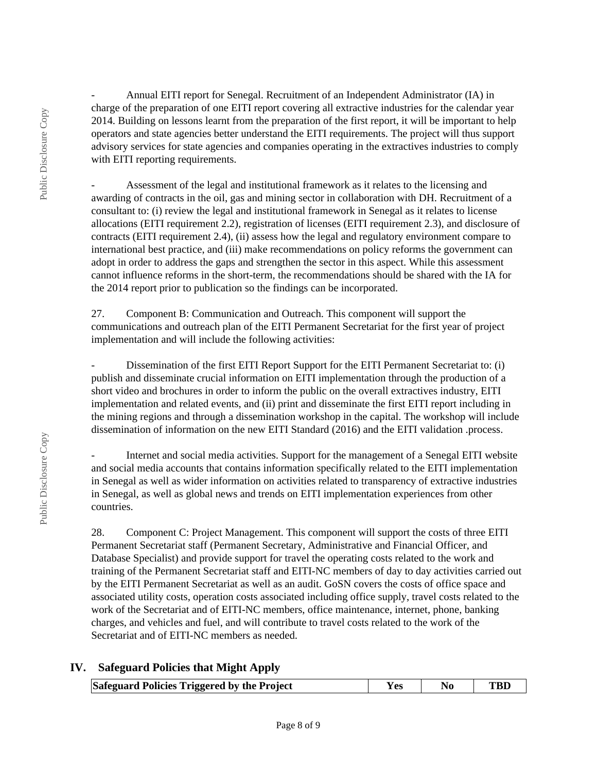- Annual EITI report for Senegal. Recruitment of an Independent Administrator (IA) in charge of the preparation of one EITI report covering all extractive industries for the calendar year 2014. Building on lessons learnt from the preparation of the first report, it will be important to help operators and state agencies better understand the EITI requirements. The project will thus support advisory services for state agencies and companies operating in the extractives industries to comply with EITI reporting requirements.

Assessment of the legal and institutional framework as it relates to the licensing and awarding of contracts in the oil, gas and mining sector in collaboration with DH. Recruitment of a consultant to: (i) review the legal and institutional framework in Senegal as it relates to license allocations (EITI requirement 2.2), registration of licenses (EITI requirement 2.3), and disclosure of contracts (EITI requirement 2.4), (ii) assess how the legal and regulatory environment compare to international best practice, and (iii) make recommendations on policy reforms the government can adopt in order to address the gaps and strengthen the sector in this aspect. While this assessment cannot influence reforms in the short-term, the recommendations should be shared with the IA for the 2014 report prior to publication so the findings can be incorporated.

27. Component B: Communication and Outreach. This component will support the communications and outreach plan of the EITI Permanent Secretariat for the first year of project implementation and will include the following activities:

Dissemination of the first EITI Report Support for the EITI Permanent Secretariat to: (i) publish and disseminate crucial information on EITI implementation through the production of a short video and brochures in order to inform the public on the overall extractives industry, EITI implementation and related events, and (ii) print and disseminate the first EITI report including in the mining regions and through a dissemination workshop in the capital. The workshop will include dissemination of information on the new EITI Standard (2016) and the EITI validation .process.

- Internet and social media activities. Support for the management of a Senegal EITI website and social media accounts that contains information specifically related to the EITI implementation in Senegal as well as wider information on activities related to transparency of extractive industries in Senegal, as well as global news and trends on EITI implementation experiences from other countries.

28. Component C: Project Management. This component will support the costs of three EITI Permanent Secretariat staff (Permanent Secretary, Administrative and Financial Officer, and Database Specialist) and provide support for travel the operating costs related to the work and training of the Permanent Secretariat staff and EITI-NC members of day to day activities carried out by the EITI Permanent Secretariat as well as an audit. GoSN covers the costs of office space and associated utility costs, operation costs associated including office supply, travel costs related to the work of the Secretariat and of EITI-NC members, office maintenance, internet, phone, banking charges, and vehicles and fuel, and will contribute to travel costs related to the work of the Secretariat and of EITI-NC members as needed.

## **IV. Safeguard Policies that Might Apply**

| Safeguard Policies Triggered by the Project | Y es | No. |  |
|---------------------------------------------|------|-----|--|
|---------------------------------------------|------|-----|--|